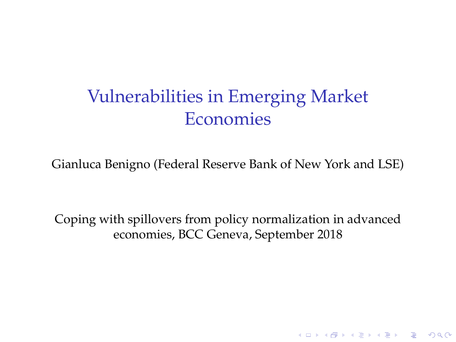# Vulnerabilities in Emerging Market Economies

Gianluca Benigno (Federal Reserve Bank of New York and LSE)

Coping with spillovers from policy normalization in advanced economies, BCC Geneva, September 2018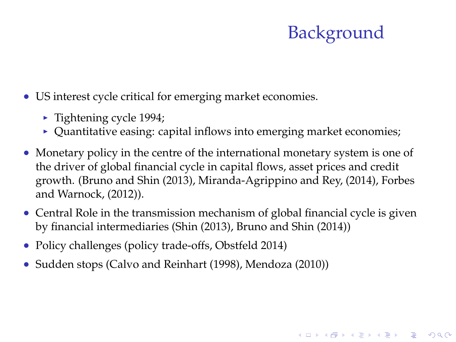# **Background**

**A O A G A 4 O A C A G A 4 O A 4 O A C A** 

- US interest cycle critical for emerging market economies.
	- $\blacktriangleright$  Tightening cycle 1994;
	- $\triangleright$  Quantitative easing: capital inflows into emerging market economies;
- Monetary policy in the centre of the international monetary system is one of the driver of global financial cycle in capital flows, asset prices and credit growth. (Bruno and Shin (2013), Miranda-Agrippino and Rey, (2014), Forbes and Warnock, (2012)).
- Central Role in the transmission mechanism of global financial cycle is given by financial intermediaries (Shin (2013), Bruno and Shin (2014))
- Policy challenges (policy trade-offs, Obstfeld 2014)
- Sudden stops (Calvo and Reinhart (1998), Mendoza (2010))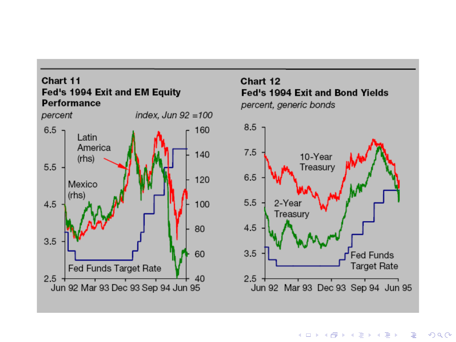

イロト イ押 トイヨ トイヨ トー ÷,  $2990$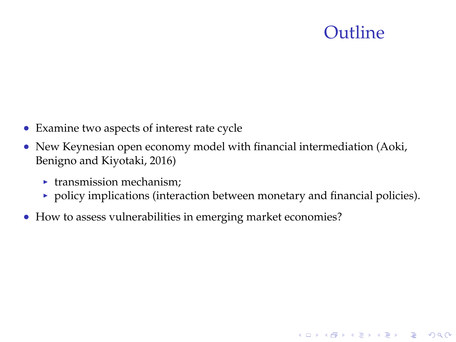## Outline

- Examine two aspects of interest rate cycle
- New Keynesian open economy model with financial intermediation (Aoki, Benigno and Kiyotaki, 2016)
	- $\blacktriangleright$  transmission mechanism;
	- $\rightarrow$  policy implications (interaction between monetary and financial policies).
- How to assess vulnerabilities in emerging market economies?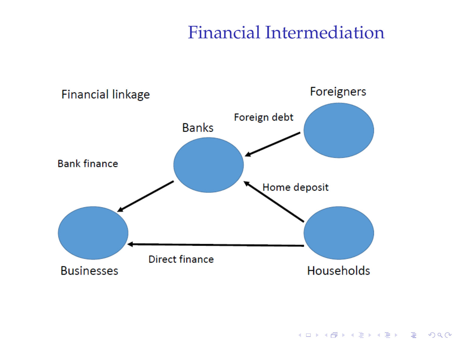#### Financial Intermediation

**Kロトメ部トメミトメミト ミニのRC** 

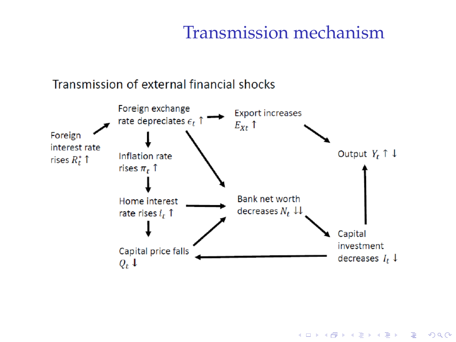#### Transmission mechanism

#### Transmission of external financial shocks

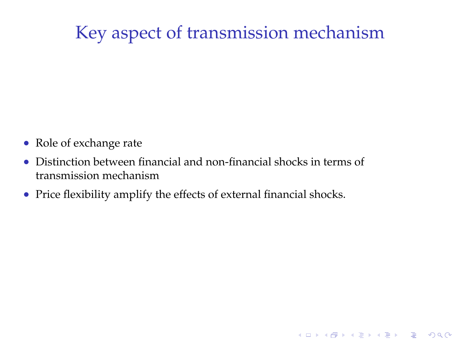# Key aspect of transmission mechanism

- Role of exchange rate
- Distinction between financial and non-financial shocks in terms of transmission mechanism
- Price flexibility amplify the effects of external financial shocks.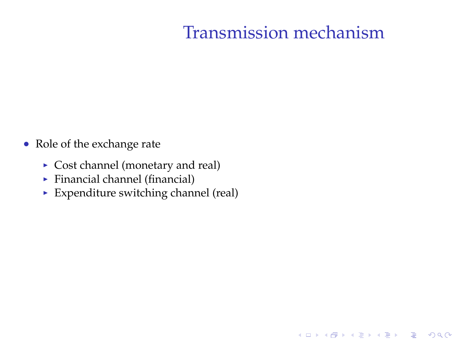## Transmission mechanism

- Role of the exchange rate
	- $\triangleright$  Cost channel (monetary and real)
	- $\blacktriangleright$  Financial channel (financial)
	- $\blacktriangleright$  Expenditure switching channel (real)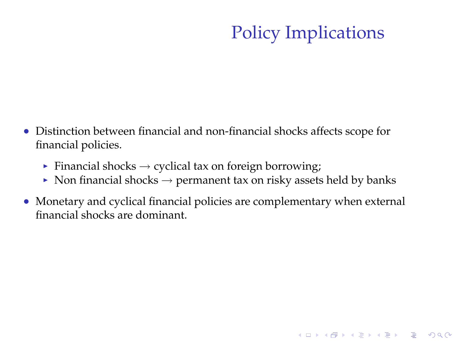# Policy Implications

- Distinction between financial and non-financial shocks affects scope for financial policies.
	- Financial shocks  $\rightarrow$  cyclical tax on foreign borrowing;
	- $\triangleright$  Non financial shocks  $\rightarrow$  permanent tax on risky assets held by banks
- Monetary and cyclical financial policies are complementary when external financial shocks are dominant.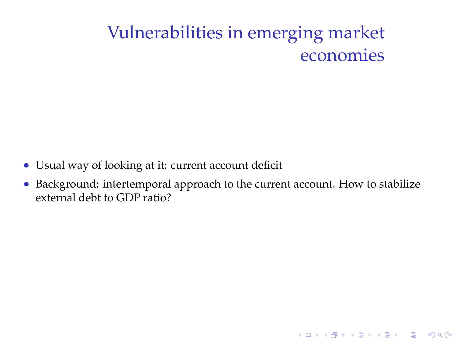# Vulnerabilities in emerging market economies

- Usual way of looking at it: current account deficit
- Background: intertemporal approach to the current account. How to stabilize external debt to GDP ratio?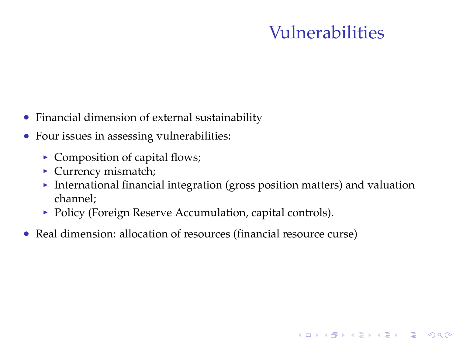## Vulnerabilities

- Financial dimension of external sustainability
- Four issues in assessing vulnerabilities:
	- $\triangleright$  Composition of capital flows;
	- $\blacktriangleright$  Currency mismatch;
	- International financial integration (gross position matters) and valuation channel;
	- Policy (Foreign Reserve Accumulation, capital controls).
- Real dimension: allocation of resources (financial resource curse)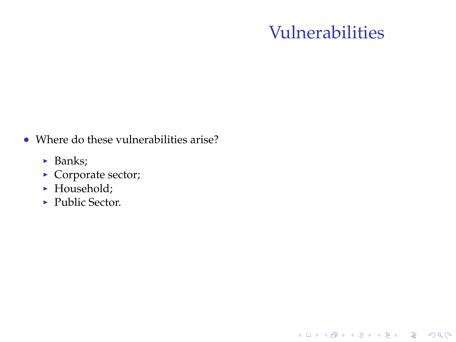## Vulnerabilities

K ロ ▶ K @ ▶ K 할 > K 할 > 1 할 > 1 이익어

- Where do these vulnerabilities arise?
	- $\blacktriangleright$  Banks;
	- $\triangleright$  Corporate sector;
	- $\blacktriangleright$  Household;
	- Public Sector.